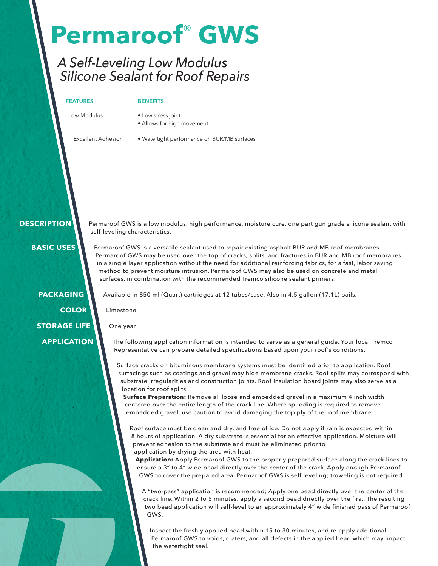# **Permaroof**® **GWS**

### *A Self-Leveling Low Modulus Silicone Sealant for Roof Repairs*

| <b>FEATURES</b>    | <b>BENEFITS</b>                                  |  |
|--------------------|--------------------------------------------------|--|
| Low Modulus        | • Low stress joint<br>• Allows for high movement |  |
| Excellent Adhesion | • Watertight performance on BUR/MB surfaces      |  |

 **DESCRIPTION**

Permaroof GWS is a low modulus, high performance, moisture cure, one part gun grade silicone sealant with self-leveling characteristics.

 **BASIC USES**

Permaroof GWS is a versatile sealant used to repair existing asphalt BUR and MB roof membranes. Permaroof GWS may be used over the top of cracks, splits, and fractures in BUR and MB roof membranes in a single layer application without the need for additional reinforcing fabrics, for a fast, labor saving method to prevent moisture intrusion. Permaroof GWS may also be used on concrete and metal surfaces, in combination with the recommended Tremco silicone sealant primers.

**PACKAGING COLOR STORAGE LIFE APPLICATION**

Available in 850 ml (Quart) cartridges at 12 tubes/case. Also in 4.5 gallon (17.1L) pails.

Limestone

One year

The following application information is intended to serve as a general guide. Your local Tremco Representative can prepare detailed specifications based upon your roof's conditions.

Surface cracks on bituminous membrane systems must be identified prior to application. Roof surfacings such as coatings and gravel may hide membrane cracks. Roof splits may correspond with substrate irregularities and construction joints. Roof insulation board joints may also serve as a location for roof splits.

**Surface Preparation:** Remove all loose and embedded gravel in a maximum 4 inch width centered over the entire length of the crack line. Where spudding is required to remove embedded gravel, use caution to avoid damaging the top ply of the roof membrane.

Roof surface must be clean and dry, and free of ice. Do not apply if rain is expected within 8 hours of application. A dry substrate is essential for an effective application. Moisture will prevent adhesion to the substrate and must be eliminated prior to application by drying the area with heat.

**Application:** Apply Permaroof GWS to the properly prepared surface along the crack lines to ensure a 3" to 4" wide bead directly over the center of the crack. Apply enough Permaroof GWS to cover the prepared area. Permaroof GWS is self leveling; troweling is not required.

A "two-pass" application is recommended; Apply one bead directly over the center of the crack line. Within 2 to 5 minutes, apply a second bead directly over the first. The resulting two bead application will self-level to an approximately 4" wide finished pass of Permaroof GWS.

Inspect the freshly applied bead within 15 to 30 minutes, and re-apply additional Permaroof GWS to voids, craters, and all defects in the applied bead which may impact the watertight seal.